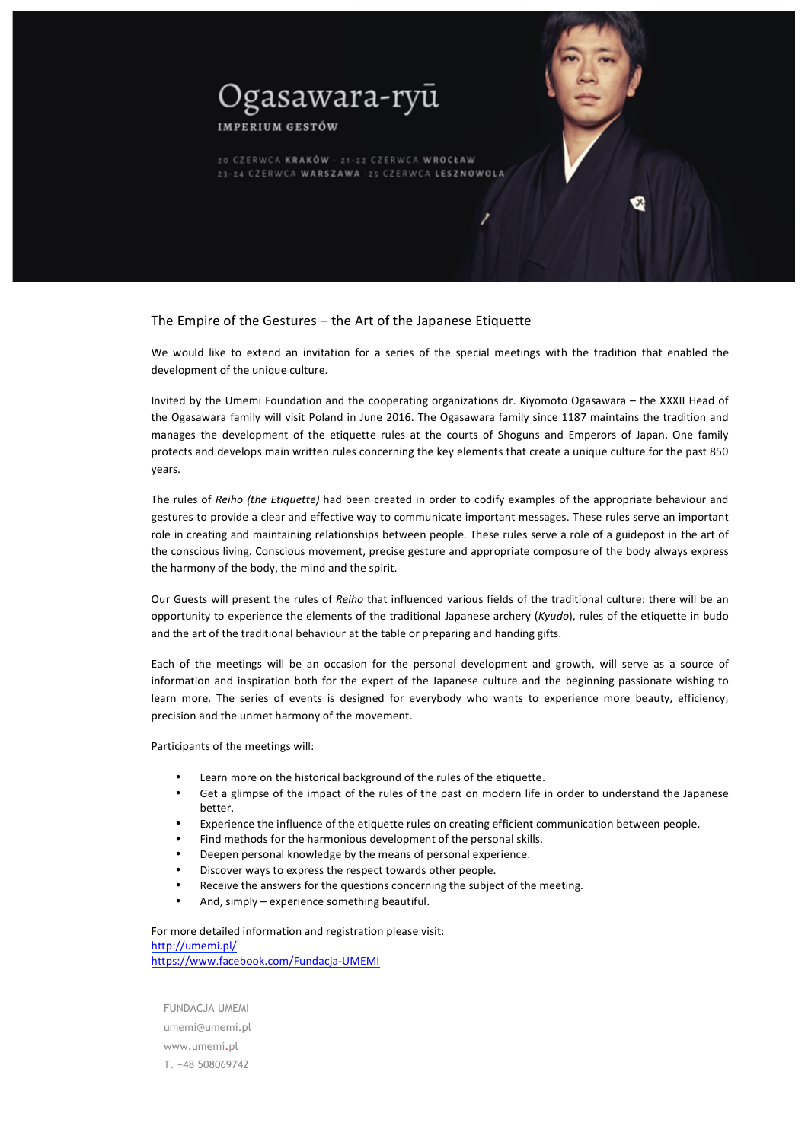

**IMPERIUM GESTÓW** 

20 CZERWCA KRAKÓW · 21-22 CZERWCA WROCŁAW 23-24 CZERWCA WARSZAWA - 25 CZERWCA LESZNOWOLA

# The Empire of the Gestures  $-$  the Art of the Japanese Etiquette

We would like to extend an invitation for a series of the special meetings with the tradition that enabled the development of the unique culture.

Invited by the Umemi Foundation and the cooperating organizations dr. Kiyomoto Ogasawara - the XXXII Head of the Ogasawara family will visit Poland in June 2016. The Ogasawara family since 1187 maintains the tradition and manages the development of the etiquette rules at the courts of Shoguns and Emperors of Japan. One family protects and develops main written rules concerning the key elements that create a unique culture for the past 850 years. 

The rules of *Reiho (the Etiquette)* had been created in order to codify examples of the appropriate behaviour and gestures to provide a clear and effective way to communicate important messages. These rules serve an important role in creating and maintaining relationships between people. These rules serve a role of a guidepost in the art of the conscious living. Conscious movement, precise gesture and appropriate composure of the body always express the harmony of the body, the mind and the spirit.

Our Guests will present the rules of *Reiho* that influenced various fields of the traditional culture: there will be an opportunity to experience the elements of the traditional Japanese archery (*Kyudo*), rules of the etiquette in budo and the art of the traditional behaviour at the table or preparing and handing gifts.

Each of the meetings will be an occasion for the personal development and growth, will serve as a source of information and inspiration both for the expert of the Japanese culture and the beginning passionate wishing to learn more. The series of events is designed for everybody who wants to experience more beauty, efficiency, precision and the unmet harmony of the movement.

Participants of the meetings will:

- Learn more on the historical background of the rules of the etiquette.
- Get a glimpse of the impact of the rules of the past on modern life in order to understand the Japanese better.
- Experience the influence of the etiquette rules on creating efficient communication between people.
- Find methods for the harmonious development of the personal skills.
- Deepen personal knowledge by the means of personal experience.
- Discover ways to express the respect towards other people.
- Receive the answers for the questions concerning the subject of the meeting.
- And, simply  $-$  experience something beautiful.

For more detailed information and registration please visit: http://umemi.pl/ https://www.facebook.com/Fundacja-UMEMI

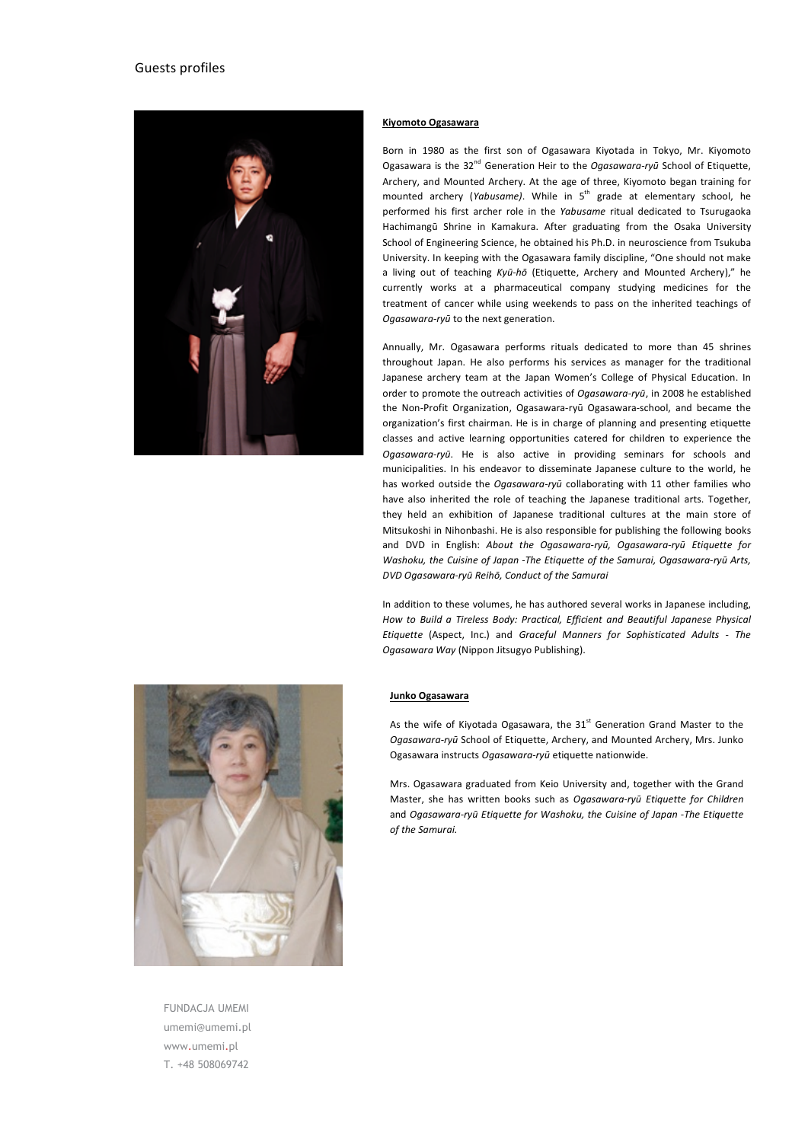# Guests profiles



#### **Kiyomoto Ogasawara**

Born in 1980 as the first son of Ogasawara Kiyotada in Tokyo, Mr. Kiyomoto Ogasawara is the 32<sup>nd</sup> Generation Heir to the *Ogasawara-ryū* School of Etiquette, Archery, and Mounted Archery. At the age of three, Kiyomoto began training for mounted archery (*Yabusame*). While in 5<sup>th</sup> grade at elementary school, he performed his first archer role in the *Yabusame* ritual dedicated to Tsurugaoka Hachimangū Shrine in Kamakura. After graduating from the Osaka University School of Engineering Science, he obtained his Ph.D. in neuroscience from Tsukuba University. In keeping with the Ogasawara family discipline, "One should not make a living out of teaching Kyū-hō (Etiquette, Archery and Mounted Archery)," he currently works at a pharmaceutical company studying medicines for the treatment of cancer while using weekends to pass on the inherited teachings of Ogasawara-ryū to the next generation.

Annually, Mr. Ogasawara performs rituals dedicated to more than 45 shrines throughout Japan. He also performs his services as manager for the traditional Japanese archery team at the Japan Women's College of Physical Education. In order to promote the outreach activities of *Ogasawara-ryū*, in 2008 he established the Non-Profit Organization, Ogasawara-ryū Ogasawara-school, and became the organization's first chairman. He is in charge of planning and presenting etiquette classes and active learning opportunities catered for children to experience the Ogasawara-ryū. He is also active in providing seminars for schools and municipalities. In his endeavor to disseminate Japanese culture to the world, he has worked outside the *Ogasawara-ryū* collaborating with 11 other families who have also inherited the role of teaching the Japanese traditional arts. Together, they held an exhibition of Japanese traditional cultures at the main store of Mitsukoshi in Nihonbashi. He is also responsible for publishing the following books and DVD in English: About the Ogasawara-ryū, Ogasawara-ryū Etiquette for *Washoku, the Cuisine of Japan -The Etiquette of the Samurai, Ogasawara-ryū Arts, DVD Ogasawara-ryū Reihō, Conduct of the Samurai* 

In addition to these volumes, he has authored several works in Japanese including, How to Build a Tireless Body: Practical, Efficient and Beautiful Japanese Physical *Etiquette* (Aspect, Inc.) and *Graceful Manners for Sophisticated Adults* - The *Ogasawara Way* (Nippon Jitsugyo Publishing).

## **Junko Ogasawara**

As the wife of Kiyotada Ogasawara, the  $31<sup>st</sup>$  Generation Grand Master to the *Ogasawara-ryū* School of Etiquette, Archery, and Mounted Archery, Mrs. Junko Ogasawara instructs Ogasawara-ryū etiquette nationwide.

Mrs. Ogasawara graduated from Keio University and, together with the Grand Master, she has written books such as *Ogasawara-ryū Etiquette for Children* and *Ogasawara-ryū* Etiquette for Washoku, the Cuisine of Japan -The Etiquette *of the Samurai.*



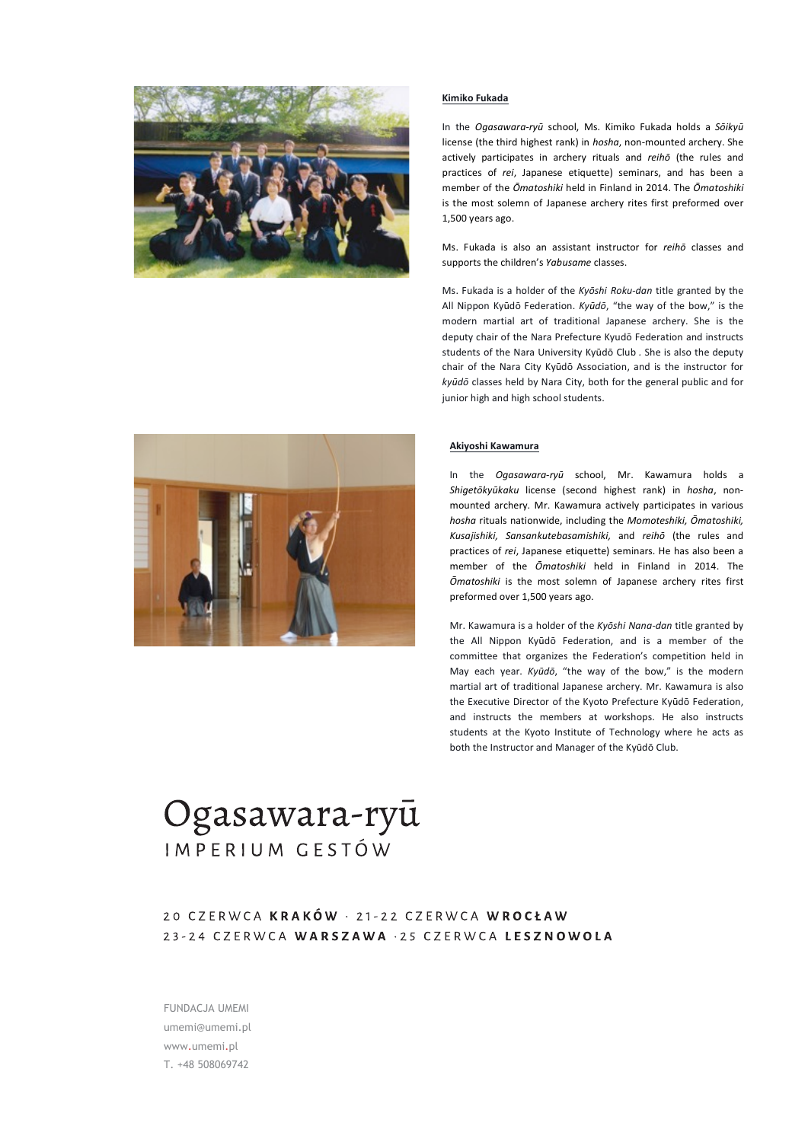

#### **Kimiko Fukada**

In the *Ogasawara-ryū* school, Ms. Kimiko Fukada holds a Sōikyū license (the third highest rank) in *hosha*, non-mounted archery. She actively participates in archery rituals and *reihō* (the rules and practices of *rei*, Japanese etiquette) seminars, and has been a member of the *Ōmatoshiki* held in Finland in 2014. The *Ōmatoshiki* is the most solemn of Japanese archery rites first preformed over 1,500 years ago.

Ms. Fukada is also an assistant instructor for *reihō* classes and supports the children's *Yabusame* classes.

Ms. Fukada is a holder of the Kyōshi Roku-dan title granted by the All Nippon Kyūdō Federation. *Kyūdō*, "the way of the bow," is the modern martial art of traditional Japanese archery. She is the deputy chair of the Nara Prefecture Kyudō Federation and instructs students of the Nara University Kyūdō Club . She is also the deputy chair of the Nara City Kyūdō Association, and is the instructor for kyūdō classes held by Nara City, both for the general public and for junior high and high school students.



## **Akiyoshi Kawamura**

In the *Ogasawara-ryū* school, Mr. Kawamura holds a *Shigetōkyūkaku*  license (second highest rank) in *hosha*, nonmounted archery. Mr. Kawamura actively participates in various *hosha* rituals nationwide, including the *Momoteshiki, Ōmatoshiki,* Kusajishiki, Sansankutebasamishiki, and reihō (the rules and practices of *rei*, Japanese etiquette) seminars. He has also been a member of the  $\bar{O}$ matoshiki held in Finland in 2014. The  $O$ *matoshiki* is the most solemn of Japanese archery rites first preformed over 1,500 years ago.

Mr. Kawamura is a holder of the Kyoshi Nana-dan title granted by the All Nippon Kyūdō Federation, and is a member of the committee that organizes the Federation's competition held in May each year. *Kyūdō*, "the way of the bow," is the modern martial art of traditional Japanese archery. Mr. Kawamura is also the Executive Director of the Kyoto Prefecture Kyūdō Federation, and instructs the members at workshops. He also instructs students at the Kyoto Institute of Technology where he acts as both the Instructor and Manager of the Kyūdō Club.

# Ogasawara-ryū IMPERIUM GESTÓW

20 CZERWCA KRAKÓW · 21-22 CZERWCA WROCŁAW 23-24 CZERWCA WARSZAWA . 25 CZERWCA LESZNOWOLA